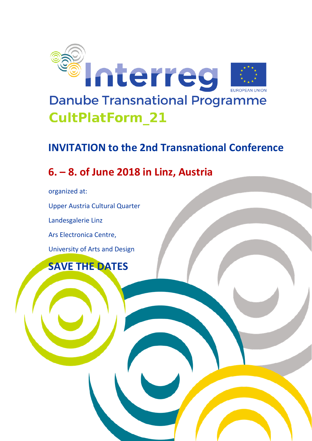

## **INVITATION to the 2nd Transnational Conference**

## **6. – 8. of June 2018 in Linz, Austria**

organized at:

Upper Austria Cultural Quarter

Landesgalerie Linz

Ars Electronica Centre,

University of Arts and Design

**SAVE THE DATES**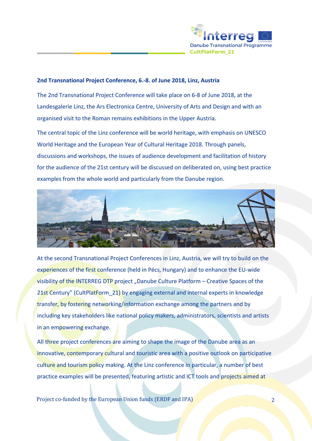

## **2nd Transnational Project Conference, 6.-8. of June 2018, Linz, Austria**

The 2nd Transnational Project Conference will take place on 6-8 of June 2018, at the Landesgalerie Linz, the Ars Electronica Centre, University of Arts and Design and with an organised visit to the Roman remains exhibitions in the Upper Austria.

The central topic of the Linz conference will be world heritage, with emphasis on UNESCO World Heritage and the European Year of Cultural Heritage 2018. Through panels, discussions and workshops, the issues of audience development and facilitation of history for the audience of the 21st century will be discussed on deliberated on, using best practice examples from the whole world and particularly from the Danube region.



At the second Transnational Project Conferences in Linz, Austria, we will try to build on the experiences of the first conference (held in Pécs, Hungary) and to enhance the EU-wide visibility of the INTERREG DTP project "Danube Culture Platform – Creative Spaces of the 21st Century" (CultPlatForm 21) by engaging external and internal experts in knowledge transfer, by fostering networking/information exchange among the partners and by including key stakeholders like national policy makers, administrators, scientists and artists in an empowering exchange.

All three project conferences are aiming to shape the image of the Danube area as an innovative, contemporary cultural and touristic area with a positive outlook on participative culture and tourism policy making. At the Linz conference in particular, a number of best practice examples will be presented, featuring artistic and ICT tools and projects aimed at

Project co-funded by the European Union funds (ERDF and IPA) 2